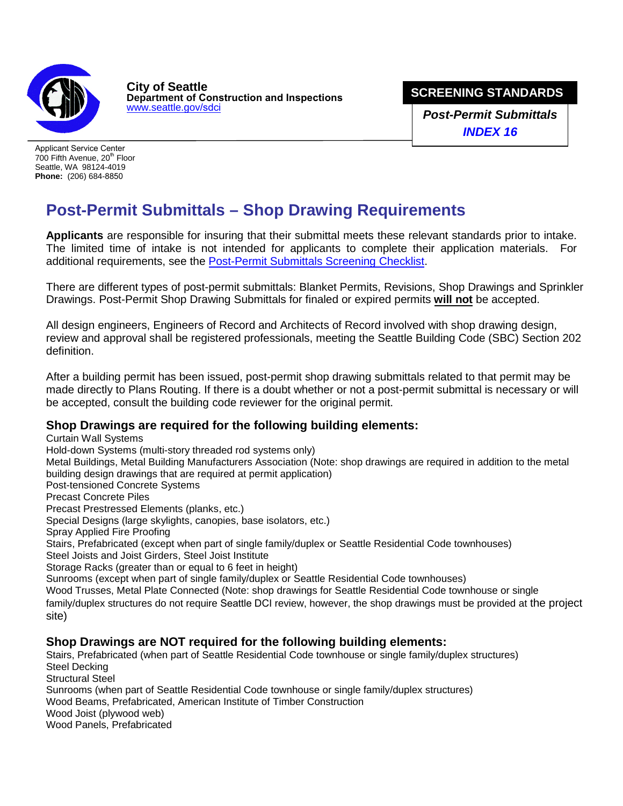

**City of Seattle Department of Construction and Inspections** [www.seattle.gov/](http://www.seattle.gov/dpd)sdci

**SCREENING STANDARDS** 

**Drop-Off Submittal** *Post-Permit Submittals INDEX 16*

Applicant Service Center 700 Fifth Avenue, 20<sup>th</sup> Floor Seattle, WA 98124-4019 **Phone:** (206) 684-8850

## **Post-Permit Submittals – Shop Drawing Requirements**

**Applicants** are responsible for insuring that their submittal meets these relevant standards prior to intake. The limited time of intake is not intended for applicants to complete their application materials. For additional requirements, see the [Post-Permit Submittals Screening Checklist.](http://www.seattle.gov/Documents/Departments/SDCI/Forms/PostPermitSubmittalConstructionChecklist.pdf)

There are different types of post-permit submittals: Blanket Permits, Revisions, Shop Drawings and Sprinkler Drawings. Post-Permit Shop Drawing Submittals for finaled or expired permits **will not** be accepted.

All design engineers, Engineers of Record and Architects of Record involved with shop drawing design, review and approval shall be registered professionals, meeting the Seattle Building Code (SBC) Section 202 definition.

After a building permit has been issued, post-permit shop drawing submittals related to that permit may be made directly to Plans Routing. If there is a doubt whether or not a post-permit submittal is necessary or will be accepted, consult the building code reviewer for the original permit.

## **Shop Drawings are required for the following building elements:**

Curtain Wall Systems Hold-down Systems (multi-story threaded rod systems only) Metal Buildings, Metal Building Manufacturers Association (Note: shop drawings are required in addition to the metal building design drawings that are required at permit application) Post-tensioned Concrete Systems Precast Concrete Piles Precast Prestressed Elements (planks, etc.) Special Designs (large skylights, canopies, base isolators, etc.) Spray Applied Fire Proofing Stairs, Prefabricated (except when part of single family/duplex or Seattle Residential Code townhouses) Steel Joists and Joist Girders, Steel Joist Institute Storage Racks (greater than or equal to 6 feet in height) Sunrooms (except when part of single family/duplex or Seattle Residential Code townhouses) Wood Trusses, Metal Plate Connected (Note: shop drawings for Seattle Residential Code townhouse or single family/duplex structures do not require Seattle DCI review, however, the shop drawings must be provided at the project site) **Shop Drawings are NOT required for the following building elements:** 

Stairs, Prefabricated (when part of Seattle Residential Code townhouse or single family/duplex structures) Steel Decking Structural Steel Sunrooms (when part of Seattle Residential Code townhouse or single family/duplex structures) Wood Beams, Prefabricated, American Institute of Timber Construction Wood Joist (plywood web) Wood Panels, Prefabricated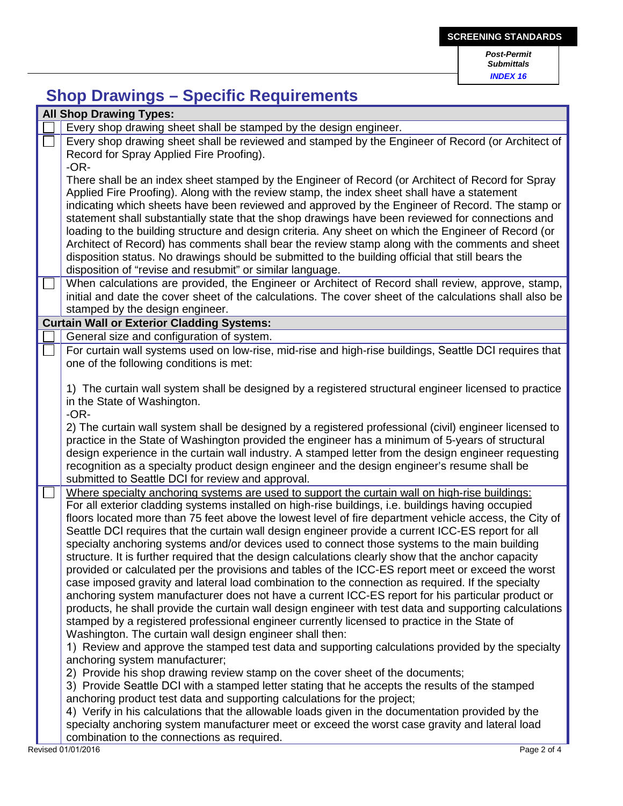*Submittals INDEX 16*

## **Shop Drawings – Specific Requirements**

| <b>All Shop Drawing Types:</b>                                                                                                                                                                                                                                                                                                                                                                                                                                                                                                                                                                                                                                                                                                                                                                                                                                                                                                                                                                                                                                                                                                                                                                                                                                                                                                                                                                                                                                                                                                                 |
|------------------------------------------------------------------------------------------------------------------------------------------------------------------------------------------------------------------------------------------------------------------------------------------------------------------------------------------------------------------------------------------------------------------------------------------------------------------------------------------------------------------------------------------------------------------------------------------------------------------------------------------------------------------------------------------------------------------------------------------------------------------------------------------------------------------------------------------------------------------------------------------------------------------------------------------------------------------------------------------------------------------------------------------------------------------------------------------------------------------------------------------------------------------------------------------------------------------------------------------------------------------------------------------------------------------------------------------------------------------------------------------------------------------------------------------------------------------------------------------------------------------------------------------------|
| Every shop drawing sheet shall be stamped by the design engineer.                                                                                                                                                                                                                                                                                                                                                                                                                                                                                                                                                                                                                                                                                                                                                                                                                                                                                                                                                                                                                                                                                                                                                                                                                                                                                                                                                                                                                                                                              |
| Every shop drawing sheet shall be reviewed and stamped by the Engineer of Record (or Architect of<br>Record for Spray Applied Fire Proofing).<br>$-OR-$                                                                                                                                                                                                                                                                                                                                                                                                                                                                                                                                                                                                                                                                                                                                                                                                                                                                                                                                                                                                                                                                                                                                                                                                                                                                                                                                                                                        |
| There shall be an index sheet stamped by the Engineer of Record (or Architect of Record for Spray<br>Applied Fire Proofing). Along with the review stamp, the index sheet shall have a statement<br>indicating which sheets have been reviewed and approved by the Engineer of Record. The stamp or<br>statement shall substantially state that the shop drawings have been reviewed for connections and<br>loading to the building structure and design criteria. Any sheet on which the Engineer of Record (or<br>Architect of Record) has comments shall bear the review stamp along with the comments and sheet                                                                                                                                                                                                                                                                                                                                                                                                                                                                                                                                                                                                                                                                                                                                                                                                                                                                                                                            |
| disposition status. No drawings should be submitted to the building official that still bears the<br>disposition of "revise and resubmit" or similar language.                                                                                                                                                                                                                                                                                                                                                                                                                                                                                                                                                                                                                                                                                                                                                                                                                                                                                                                                                                                                                                                                                                                                                                                                                                                                                                                                                                                 |
| When calculations are provided, the Engineer or Architect of Record shall review, approve, stamp,<br>initial and date the cover sheet of the calculations. The cover sheet of the calculations shall also be<br>stamped by the design engineer.                                                                                                                                                                                                                                                                                                                                                                                                                                                                                                                                                                                                                                                                                                                                                                                                                                                                                                                                                                                                                                                                                                                                                                                                                                                                                                |
| <b>Curtain Wall or Exterior Cladding Systems:</b>                                                                                                                                                                                                                                                                                                                                                                                                                                                                                                                                                                                                                                                                                                                                                                                                                                                                                                                                                                                                                                                                                                                                                                                                                                                                                                                                                                                                                                                                                              |
| General size and configuration of system.                                                                                                                                                                                                                                                                                                                                                                                                                                                                                                                                                                                                                                                                                                                                                                                                                                                                                                                                                                                                                                                                                                                                                                                                                                                                                                                                                                                                                                                                                                      |
| For curtain wall systems used on low-rise, mid-rise and high-rise buildings, Seattle DCI requires that<br>one of the following conditions is met:                                                                                                                                                                                                                                                                                                                                                                                                                                                                                                                                                                                                                                                                                                                                                                                                                                                                                                                                                                                                                                                                                                                                                                                                                                                                                                                                                                                              |
| 1) The curtain wall system shall be designed by a registered structural engineer licensed to practice<br>in the State of Washington.<br>$-OR-$                                                                                                                                                                                                                                                                                                                                                                                                                                                                                                                                                                                                                                                                                                                                                                                                                                                                                                                                                                                                                                                                                                                                                                                                                                                                                                                                                                                                 |
| 2) The curtain wall system shall be designed by a registered professional (civil) engineer licensed to<br>practice in the State of Washington provided the engineer has a minimum of 5-years of structural<br>design experience in the curtain wall industry. A stamped letter from the design engineer requesting<br>recognition as a specialty product design engineer and the design engineer's resume shall be<br>submitted to Seattle DCI for review and approval.                                                                                                                                                                                                                                                                                                                                                                                                                                                                                                                                                                                                                                                                                                                                                                                                                                                                                                                                                                                                                                                                        |
| Where specialty anchoring systems are used to support the curtain wall on high-rise buildings:<br>For all exterior cladding systems installed on high-rise buildings, i.e. buildings having occupied<br>floors located more than 75 feet above the lowest level of fire department vehicle access, the City of<br>Seattle DCI requires that the curtain wall design engineer provide a current ICC-ES report for all<br>specialty anchoring systems and/or devices used to connect those systems to the main building<br>structure. It is further required that the design calculations clearly show that the anchor capacity<br>provided or calculated per the provisions and tables of the ICC-ES report meet or exceed the worst<br>case imposed gravity and lateral load combination to the connection as required. If the specialty<br>anchoring system manufacturer does not have a current ICC-ES report for his particular product or<br>products, he shall provide the curtain wall design engineer with test data and supporting calculations<br>stamped by a registered professional engineer currently licensed to practice in the State of<br>Washington. The curtain wall design engineer shall then:<br>1) Review and approve the stamped test data and supporting calculations provided by the specialty<br>anchoring system manufacturer;<br>2) Provide his shop drawing review stamp on the cover sheet of the documents;<br>3) Provide Seattle DCI with a stamped letter stating that he accepts the results of the stamped |
| anchoring product test data and supporting calculations for the project;<br>4) Verify in his calculations that the allowable loads given in the documentation provided by the<br>specialty anchoring system manufacturer meet or exceed the worst case gravity and lateral load                                                                                                                                                                                                                                                                                                                                                                                                                                                                                                                                                                                                                                                                                                                                                                                                                                                                                                                                                                                                                                                                                                                                                                                                                                                                |
| combination to the connections as required.<br>Revised 01/01/2016<br>Page 2 of 4                                                                                                                                                                                                                                                                                                                                                                                                                                                                                                                                                                                                                                                                                                                                                                                                                                                                                                                                                                                                                                                                                                                                                                                                                                                                                                                                                                                                                                                               |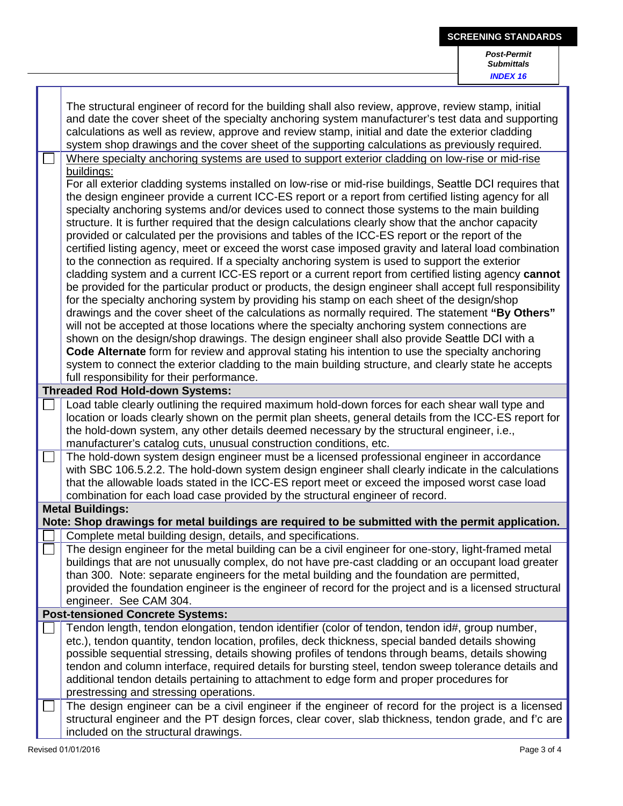|                                                                                                                                                                                                                                                                                                                                                                                                                                                                                                                                                                                                                                                                                                                                                                                                                                                                                                                                                                                                                                                                                                                                                                                                                                                                                                                                                                                                                                                                                                                                                                                                                                                                                           | <b>Post-Permit</b><br><b>Submittals</b><br><b>INDEX 16</b> |  |  |  |
|-------------------------------------------------------------------------------------------------------------------------------------------------------------------------------------------------------------------------------------------------------------------------------------------------------------------------------------------------------------------------------------------------------------------------------------------------------------------------------------------------------------------------------------------------------------------------------------------------------------------------------------------------------------------------------------------------------------------------------------------------------------------------------------------------------------------------------------------------------------------------------------------------------------------------------------------------------------------------------------------------------------------------------------------------------------------------------------------------------------------------------------------------------------------------------------------------------------------------------------------------------------------------------------------------------------------------------------------------------------------------------------------------------------------------------------------------------------------------------------------------------------------------------------------------------------------------------------------------------------------------------------------------------------------------------------------|------------------------------------------------------------|--|--|--|
| The structural engineer of record for the building shall also review, approve, review stamp, initial<br>and date the cover sheet of the specialty anchoring system manufacturer's test data and supporting<br>calculations as well as review, approve and review stamp, initial and date the exterior cladding<br>system shop drawings and the cover sheet of the supporting calculations as previously required.                                                                                                                                                                                                                                                                                                                                                                                                                                                                                                                                                                                                                                                                                                                                                                                                                                                                                                                                                                                                                                                                                                                                                                                                                                                                         |                                                            |  |  |  |
| Where specialty anchoring systems are used to support exterior cladding on low-rise or mid-rise<br>buildings:<br>For all exterior cladding systems installed on low-rise or mid-rise buildings, Seattle DCI requires that<br>the design engineer provide a current ICC-ES report or a report from certified listing agency for all<br>specialty anchoring systems and/or devices used to connect those systems to the main building<br>structure. It is further required that the design calculations clearly show that the anchor capacity<br>provided or calculated per the provisions and tables of the ICC-ES report or the report of the<br>certified listing agency, meet or exceed the worst case imposed gravity and lateral load combination<br>to the connection as required. If a specialty anchoring system is used to support the exterior<br>cladding system and a current ICC-ES report or a current report from certified listing agency cannot<br>be provided for the particular product or products, the design engineer shall accept full responsibility<br>for the specialty anchoring system by providing his stamp on each sheet of the design/shop<br>drawings and the cover sheet of the calculations as normally required. The statement "By Others"<br>will not be accepted at those locations where the specialty anchoring system connections are<br>shown on the design/shop drawings. The design engineer shall also provide Seattle DCI with a<br>Code Alternate form for review and approval stating his intention to use the specialty anchoring<br>system to connect the exterior cladding to the main building structure, and clearly state he accepts |                                                            |  |  |  |
| full responsibility for their performance.<br><b>Threaded Rod Hold-down Systems:</b>                                                                                                                                                                                                                                                                                                                                                                                                                                                                                                                                                                                                                                                                                                                                                                                                                                                                                                                                                                                                                                                                                                                                                                                                                                                                                                                                                                                                                                                                                                                                                                                                      |                                                            |  |  |  |
| Load table clearly outlining the required maximum hold-down forces for each shear wall type and                                                                                                                                                                                                                                                                                                                                                                                                                                                                                                                                                                                                                                                                                                                                                                                                                                                                                                                                                                                                                                                                                                                                                                                                                                                                                                                                                                                                                                                                                                                                                                                           |                                                            |  |  |  |
| location or loads clearly shown on the permit plan sheets, general details from the ICC-ES report for<br>the hold-down system, any other details deemed necessary by the structural engineer, i.e.,<br>manufacturer's catalog cuts, unusual construction conditions, etc.                                                                                                                                                                                                                                                                                                                                                                                                                                                                                                                                                                                                                                                                                                                                                                                                                                                                                                                                                                                                                                                                                                                                                                                                                                                                                                                                                                                                                 |                                                            |  |  |  |
| The hold-down system design engineer must be a licensed professional engineer in accordance<br>with SBC 106.5.2.2. The hold-down system design engineer shall clearly indicate in the calculations<br>that the allowable loads stated in the ICC-ES report meet or exceed the imposed worst case load<br>combination for each load case provided by the structural engineer of record.                                                                                                                                                                                                                                                                                                                                                                                                                                                                                                                                                                                                                                                                                                                                                                                                                                                                                                                                                                                                                                                                                                                                                                                                                                                                                                    |                                                            |  |  |  |
| <b>Metal Buildings:</b>                                                                                                                                                                                                                                                                                                                                                                                                                                                                                                                                                                                                                                                                                                                                                                                                                                                                                                                                                                                                                                                                                                                                                                                                                                                                                                                                                                                                                                                                                                                                                                                                                                                                   |                                                            |  |  |  |
| Note: Shop drawings for metal buildings are required to be submitted with the permit application.                                                                                                                                                                                                                                                                                                                                                                                                                                                                                                                                                                                                                                                                                                                                                                                                                                                                                                                                                                                                                                                                                                                                                                                                                                                                                                                                                                                                                                                                                                                                                                                         |                                                            |  |  |  |
| Complete metal building design, details, and specifications.<br>The design engineer for the metal building can be a civil engineer for one-story, light-framed metal<br>buildings that are not unusually complex, do not have pre-cast cladding or an occupant load greater<br>than 300. Note: separate engineers for the metal building and the foundation are permitted,<br>provided the foundation engineer is the engineer of record for the project and is a licensed structural<br>engineer. See CAM 304.                                                                                                                                                                                                                                                                                                                                                                                                                                                                                                                                                                                                                                                                                                                                                                                                                                                                                                                                                                                                                                                                                                                                                                           |                                                            |  |  |  |
| <b>Post-tensioned Concrete Systems:</b>                                                                                                                                                                                                                                                                                                                                                                                                                                                                                                                                                                                                                                                                                                                                                                                                                                                                                                                                                                                                                                                                                                                                                                                                                                                                                                                                                                                                                                                                                                                                                                                                                                                   |                                                            |  |  |  |
| Tendon length, tendon elongation, tendon identifier (color of tendon, tendon id#, group number,<br>etc.), tendon quantity, tendon location, profiles, deck thickness, special banded details showing<br>possible sequential stressing, details showing profiles of tendons through beams, details showing<br>tendon and column interface, required details for bursting steel, tendon sweep tolerance details and<br>additional tendon details pertaining to attachment to edge form and proper procedures for<br>prestressing and stressing operations.                                                                                                                                                                                                                                                                                                                                                                                                                                                                                                                                                                                                                                                                                                                                                                                                                                                                                                                                                                                                                                                                                                                                  |                                                            |  |  |  |
| The design engineer can be a civil engineer if the engineer of record for the project is a licensed<br>structural engineer and the PT design forces, clear cover, slab thickness, tendon grade, and f'c are<br>included on the structural drawings.                                                                                                                                                                                                                                                                                                                                                                                                                                                                                                                                                                                                                                                                                                                                                                                                                                                                                                                                                                                                                                                                                                                                                                                                                                                                                                                                                                                                                                       |                                                            |  |  |  |

**SCREENING STANDARDS**